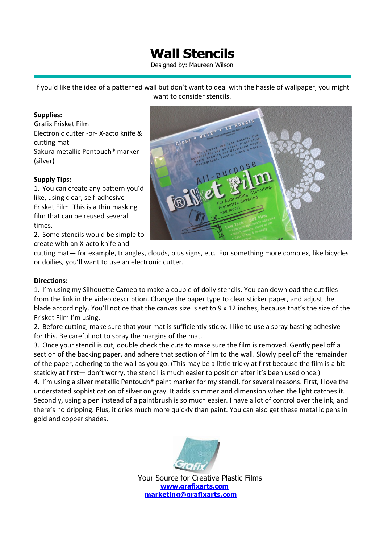## **Wall Stencils**

Designed by: Maureen Wilson

If you'd like the idea of a patterned wall but don't want to deal with the hassle of wallpaper, you might want to consider stencils.

### **Supplies:**

Grafix Frisket Film Electronic cutter -or- X-acto knife & cutting mat Sakura metallic Pentouch® marker (silver)

## **Supply Tips:**

1. You can create any pattern you'd like, using clear, self-adhesive Frisket Film. This is a thin masking film that can be reused several times.

2. Some stencils would be simple to create with an X-acto knife and



cutting mat— for example, triangles, clouds, plus signs, etc. For something more complex, like bicycles or doilies, you'll want to use an electronic cutter.

### **Directions:**

1. I'm using my Silhouette Cameo to make a couple of doily stencils. You can download the cut files from the link in the video description. Change the paper type to clear sticker paper, and adjust the blade accordingly. You'll notice that the canvas size is set to 9 x 12 inches, because that's the size of the Frisket Film I'm using.

2. Before cutting, make sure that your mat is sufficiently sticky. I like to use a spray basting adhesive for this. Be careful not to spray the margins of the mat.

3. Once your stencil is cut, double check the cuts to make sure the film is removed. Gently peel off a section of the backing paper, and adhere that section of film to the wall. Slowly peel off the remainder of the paper, adhering to the wall as you go. (This may be a little tricky at first because the film is a bit staticky at first— don't worry, the stencil is much easier to position after it's been used once.) 4. I'm using a silver metallic Pentouch® paint marker for my stencil, for several reasons. First, I love the

understated sophistication of silver on gray. It adds shimmer and dimension when the light catches it. Secondly, using a pen instead of a paintbrush is so much easier. I have a lot of control over the ink, and there's no dripping. Plus, it dries much more quickly than paint. You can also get these metallic pens in gold and copper shades.



Your Source for Creative Plastic Films **www.grafixarts.com marketing@grafixarts.com**